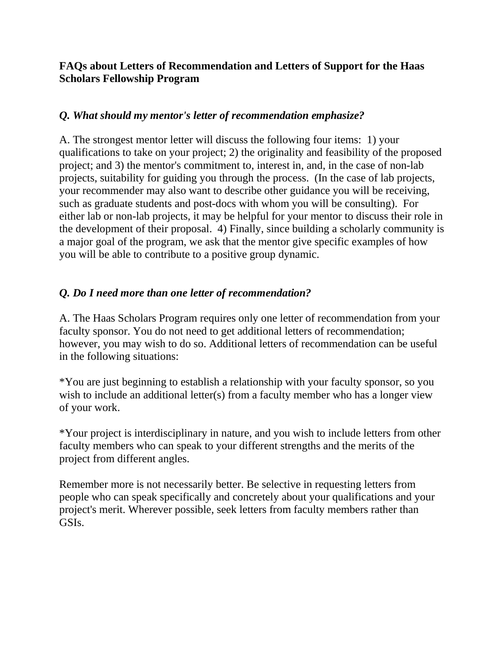#### **FAQs about Letters of Recommendation and Letters of Support for the Haas Scholars Fellowship Program**

#### *Q. What should my mentor's letter of recommendation emphasize?*

A. The strongest mentor letter will discuss the following four items: 1) your qualifications to take on your project; 2) the originality and feasibility of the proposed project; and 3) the mentor's commitment to, interest in, and, in the case of non-lab projects, suitability for guiding you through the process. (In the case of lab projects, your recommender may also want to describe other guidance you will be receiving, such as graduate students and post-docs with whom you will be consulting). For either lab or non-lab projects, it may be helpful for your mentor to discuss their role in the development of their proposal. 4) Finally, since building a scholarly community is a major goal of the program, we ask that the mentor give specific examples of how you will be able to contribute to a positive group dynamic.

# *Q. Do I need more than one letter of recommendation?*

A. The Haas Scholars Program requires only one letter of recommendation from your faculty sponsor. You do not need to get additional letters of recommendation; however, you may wish to do so. Additional letters of recommendation can be useful in the following situations:

\*You are just beginning to establish a relationship with your faculty sponsor, so you wish to include an additional letter(s) from a faculty member who has a longer view of your work.

\*Your project is interdisciplinary in nature, and you wish to include letters from other faculty members who can speak to your different strengths and the merits of the project from different angles.

Remember more is not necessarily better. Be selective in requesting letters from people who can speak specifically and concretely about your qualifications and your project's merit. Wherever possible, seek letters from faculty members rather than GSIs.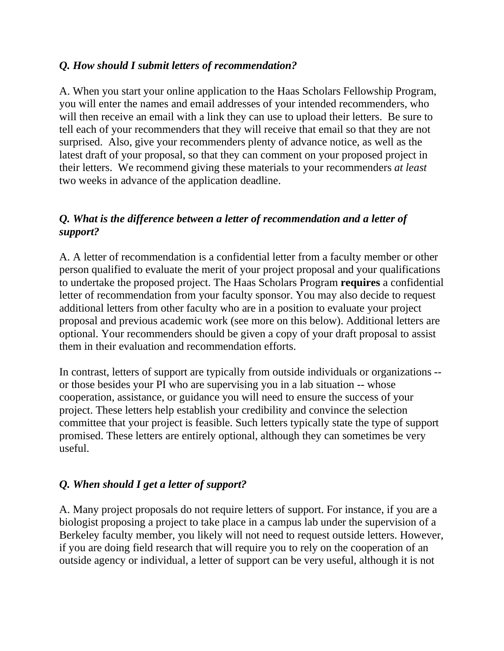#### *Q. How should I submit letters of recommendation?*

A. When you start your online application to the Haas Scholars Fellowship Program, you will enter the names and email addresses of your intended recommenders, who will then receive an email with a link they can use to upload their letters. Be sure to tell each of your recommenders that they will receive that email so that they are not surprised. Also, give your recommenders plenty of advance notice, as well as the latest draft of your proposal, so that they can comment on your proposed project in their letters. We recommend giving these materials to your recommenders *at least* two weeks in advance of the application deadline.

# *Q. What is the difference between a letter of recommendation and a letter of support?*

A. A letter of recommendation is a confidential letter from a faculty member or other person qualified to evaluate the merit of your project proposal and your qualifications to undertake the proposed project. The Haas Scholars Program **requires** a confidential letter of recommendation from your faculty sponsor. You may also decide to request additional letters from other faculty who are in a position to evaluate your project proposal and previous academic work (see more on this below). Additional letters are optional. Your recommenders should be given a copy of your draft proposal to assist them in their evaluation and recommendation efforts.

In contrast, letters of support are typically from outside individuals or organizations - or those besides your PI who are supervising you in a lab situation -- whose cooperation, assistance, or guidance you will need to ensure the success of your project. These letters help establish your credibility and convince the selection committee that your project is feasible. Such letters typically state the type of support promised. These letters are entirely optional, although they can sometimes be very useful.

# *Q. When should I get a letter of support?*

A. Many project proposals do not require letters of support. For instance, if you are a biologist proposing a project to take place in a campus lab under the supervision of a Berkeley faculty member, you likely will not need to request outside letters. However, if you are doing field research that will require you to rely on the cooperation of an outside agency or individual, a letter of support can be very useful, although it is not